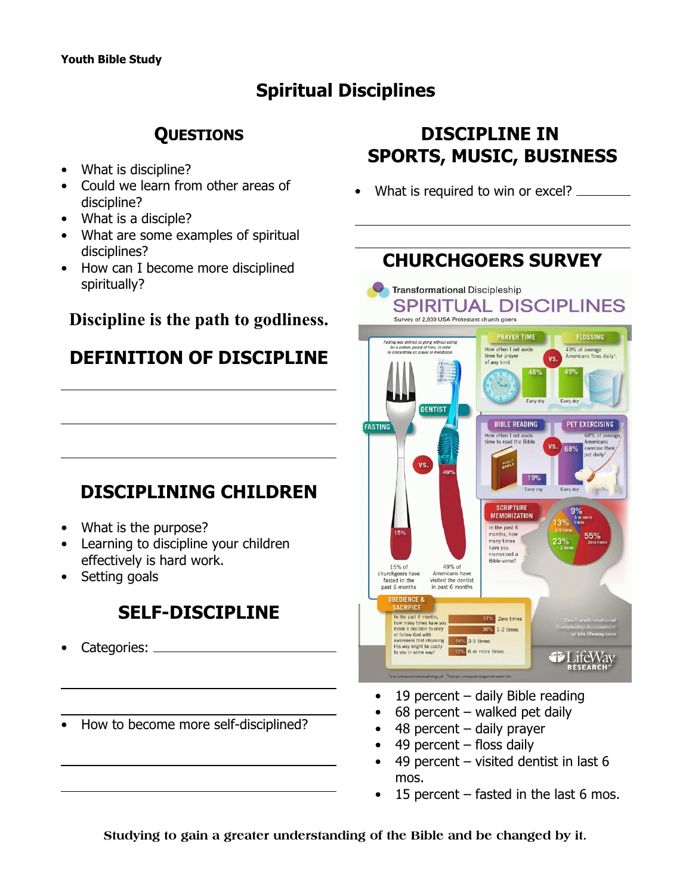## **Spiritual Disciplines**

## **QUESTIONS**

- What is discipline?
- Could we learn from other areas of discipline?
- What is a disciple?
- What are some examples of spiritual disciplines?
- How can I become more disciplined spiritually?

#### **Discipline is the path to godliness.**

## **DEFINITION OF DISCIPLINE**

## **DISCIPLINING CHILDREN**

- What is the purpose?
- Learning to discipline your children effectively is hard work.
- Setting goals

## **SELF-DISCIPLINE**

- Categories:
- How to become more self-disciplined?

## **DISCIPLINE IN SPORTS, MUSIC, BUSINESS**

What is required to win or excel? \_\_\_\_\_\_



- $\bullet$  19 percent daily Bible reading
- $68$  percent walked pet daily
- 48 percent daily prayer
- 49 percent  $-$  floss daily
- 49 percent visited dentist in last 6 mos.
- 15 percent  $-$  fasted in the last 6 mos.

**Studying to gain a greater understanding of the Bible and be changed by it.**